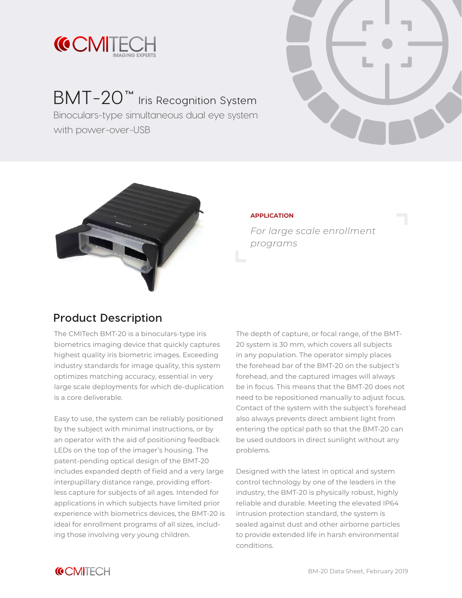

# BMT-20™ Iris Recognition System

Binoculars-type simultaneous dual eye system with power-over-USB





#### **APPLICATION**

*For large scale enrollment programs*

#### **Product Description**

The CMITech BMT-20 is a binoculars-type iris biometrics imaging device that quickly captures highest quality iris biometric images. Exceeding industry standards for image quality, this system optimizes matching accuracy, essential in very large scale deployments for which de-duplication is a core deliverable.

Easy to use, the system can be reliably positioned by the subject with minimal instructions, or by an operator with the aid of positioning feedback LEDs on the top of the imager's housing. The patent-pending optical design of the BMT-20 includes expanded depth of field and a very large interpupillary distance range, providing effortless capture for subjects of all ages. Intended for applications in which subjects have limited prior experience with biometrics devices, the BMT-20 is ideal for enrollment programs of all sizes, including those involving very young children.

The depth of capture, or focal range, of the BMT-20 system is 30 mm, which covers all subjects in any population. The operator simply places the forehead bar of the BMT-20 on the subject's forehead, and the captured images will always be in focus. This means that the BMT-20 does not need to be repositioned manually to adjust focus. Contact of the system with the subject's forehead also always prevents direct ambient light from entering the optical path so that the BMT-20 can be used outdoors in direct sunlight without any problems.

Designed with the latest in optical and system control technology by one of the leaders in the industry, the BMT-20 is physically robust, highly reliable and durable. Meeting the elevated IP64 intrusion protection standard, the system is sealed against dust and other airborne particles to provide extended life in harsh environmental conditions.

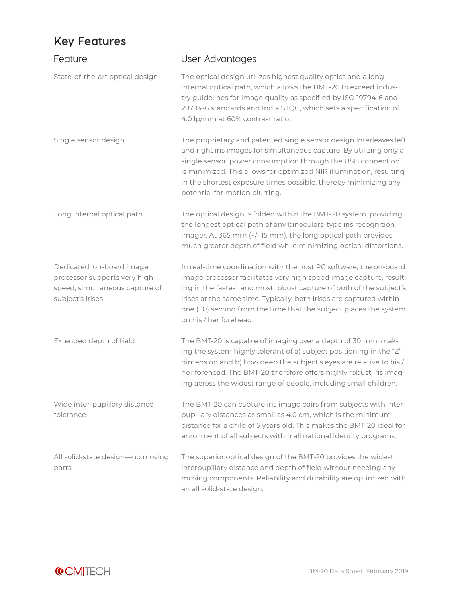## **Key Features**

| Feature                                                                                                         | User Advantages                                                                                                                                                                                                                                                                                                                                                                      |
|-----------------------------------------------------------------------------------------------------------------|--------------------------------------------------------------------------------------------------------------------------------------------------------------------------------------------------------------------------------------------------------------------------------------------------------------------------------------------------------------------------------------|
| State-of-the-art optical design                                                                                 | The optical design utilizes highest quality optics and a long<br>internal optical path, which allows the BMT-20 to exceed indus-<br>try guidelines for image quality as specified by ISO 19794-6 and<br>29794-6 standards and India STQC, which sets a specification of<br>4.0 lp/mm at 60% contrast ratio.                                                                          |
| Single sensor design                                                                                            | The proprietary and patented single sensor design interleaves left<br>and right iris images for simultaneous capture. By utilizing only a<br>single sensor, power consumption through the USB connection<br>is minimized. This allows for optimized NIR illumination, resulting<br>in the shortest exposure times possible, thereby minimizing any<br>potential for motion blurring. |
| Long internal optical path                                                                                      | The optical design is folded within the BMT-20 system, providing<br>the longest optical path of any binoculars-type iris recognition<br>imager. At 365 mm (+/-15 mm), the long optical path provides<br>much greater depth of field while minimizing optical distortions.                                                                                                            |
| Dedicated, on-board image<br>processor supports very high<br>speed, simultaneous capture of<br>subject's irises | In real-time coordination with the host PC software, the on-board<br>image processor facilitates very high speed image capture, result-<br>ing in the fastest and most robust capture of both of the subject's<br>irises at the same time. Typically, both irises are captured within<br>one (1.0) second from the time that the subject places the system<br>on his / her forehead. |
| Extended depth of field                                                                                         | The BMT-20 is capable of imaging over a depth of 30 mm, mak-<br>ing the system highly tolerant of a) subject positioning in the "Z"<br>dimension and b) how deep the subject's eyes are relative to his /<br>her forehead. The BMT-20 therefore offers highly robust iris imag-<br>ing across the widest range of people, including small children.                                  |
| Wide inter-pupillary distance<br>tolerance                                                                      | The BMT-20 can capture iris image pairs from subjects with inter-<br>pupillary distances as small as 4.0 cm, which is the minimum<br>distance for a child of 5 years old. This makes the BMT-20 ideal for<br>enrollment of all subjects within all national identity programs.                                                                                                       |
| All solid-state design-no moving<br>parts                                                                       | The superior optical design of the BMT-20 provides the widest<br>interpupillary distance and depth of field without needing any<br>moving components. Reliability and durability are optimized with<br>an all solid-state design.                                                                                                                                                    |

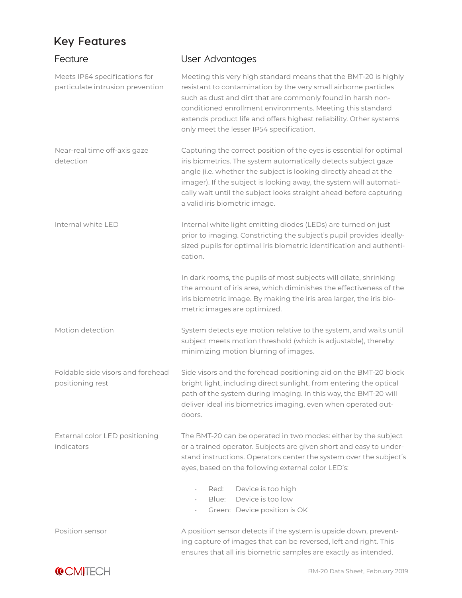## **Key Features**

| Feature                                                           | User Advantages                                                                                                                                                                                                                                                                                                                                                                        |
|-------------------------------------------------------------------|----------------------------------------------------------------------------------------------------------------------------------------------------------------------------------------------------------------------------------------------------------------------------------------------------------------------------------------------------------------------------------------|
| Meets IP64 specifications for<br>particulate intrusion prevention | Meeting this very high standard means that the BMT-20 is highly<br>resistant to contamination by the very small airborne particles<br>such as dust and dirt that are commonly found in harsh non-<br>conditioned enrollment environments. Meeting this standard<br>extends product life and offers highest reliability. Other systems<br>only meet the lesser IP54 specification.      |
| Near-real time off-axis gaze<br>detection                         | Capturing the correct position of the eyes is essential for optimal<br>iris biometrics. The system automatically detects subject gaze<br>angle (i.e. whether the subject is looking directly ahead at the<br>imager). If the subject is looking away, the system will automati-<br>cally wait until the subject looks straight ahead before capturing<br>a valid iris biometric image. |
| Internal white LED                                                | Internal white light emitting diodes (LEDs) are turned on just<br>prior to imaging. Constricting the subject's pupil provides ideally-<br>sized pupils for optimal iris biometric identification and authenti-<br>cation.                                                                                                                                                              |
|                                                                   | In dark rooms, the pupils of most subjects will dilate, shrinking<br>the amount of iris area, which diminishes the effectiveness of the<br>iris biometric image. By making the iris area larger, the iris bio-<br>metric images are optimized.                                                                                                                                         |
| Motion detection                                                  | System detects eye motion relative to the system, and waits until<br>subject meets motion threshold (which is adjustable), thereby<br>minimizing motion blurring of images.                                                                                                                                                                                                            |
| Foldable side visors and forehead<br>positioning rest             | Side visors and the forehead positioning aid on the BMT-20 block<br>bright light, including direct sunlight, from entering the optical<br>path of the system during imaging. In this way, the BMT-20 will<br>deliver ideal iris biometrics imaging, even when operated out-<br>doors.                                                                                                  |
| External color LED positioning<br>indicators                      | The BMT-20 can be operated in two modes: either by the subject<br>or a trained operator. Subjects are given short and easy to under-<br>stand instructions. Operators center the system over the subject's<br>eyes, based on the following external color LED's:                                                                                                                       |
|                                                                   | Red:<br>Device is too high<br>$\bullet$<br>Device is too low<br>Blue:<br>Green: Device position is OK<br>$\bullet$                                                                                                                                                                                                                                                                     |
| Position sensor                                                   | A position sensor detects if the system is upside down, prevent-<br>ing capture of images that can be reversed, left and right. This                                                                                                                                                                                                                                                   |



ensures that all iris biometric samples are exactly as intended.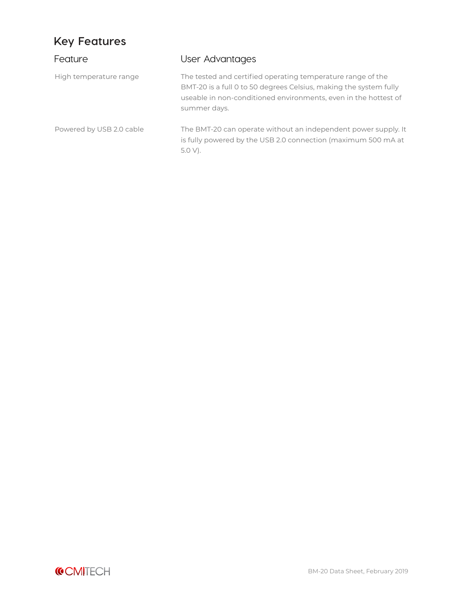## **Key Features**

| Feature                  | User Advantages                                                                                                                                                                                                     |
|--------------------------|---------------------------------------------------------------------------------------------------------------------------------------------------------------------------------------------------------------------|
| High temperature range   | The tested and certified operating temperature range of the<br>BMT-20 is a full 0 to 50 degrees Celsius, making the system fully<br>useable in non-conditioned environments, even in the hottest of<br>summer days. |
| Powered by USB 2.0 cable | The BMT-20 can operate without an independent power supply. It<br>is fully powered by the USB 2.0 connection (maximum 500 mA at<br>$5.0 V$ ).                                                                       |

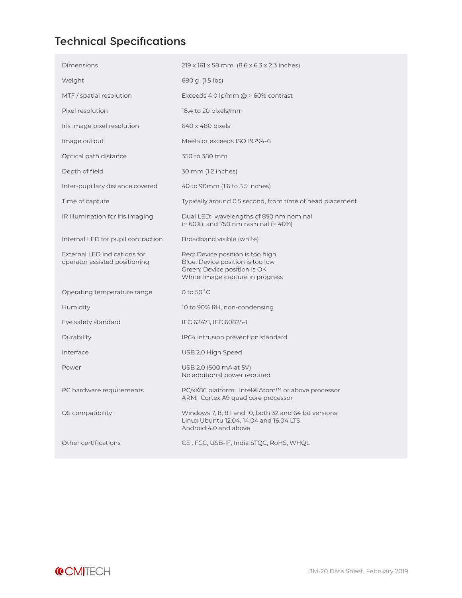# **Technical Specifications**

| Dimensions                                                    | $219 \times 161 \times 58$ mm $(8.6 \times 6.3 \times 2.3$ inches)                                                                       |
|---------------------------------------------------------------|------------------------------------------------------------------------------------------------------------------------------------------|
| Weight                                                        | 680 g (1.5 lbs)                                                                                                                          |
| MTF / spatial resolution                                      | Exceeds 4.0 lp/mm $@$ > 60% contrast                                                                                                     |
| Pixel resolution                                              | 18.4 to 20 pixels/mm                                                                                                                     |
| Iris image pixel resolution                                   | 640 x 480 pixels                                                                                                                         |
| Image output                                                  | Meets or exceeds ISO 19794-6                                                                                                             |
| Optical path distance                                         | 350 to 380 mm                                                                                                                            |
| Depth of field                                                | 30 mm (1.2 inches)                                                                                                                       |
| Inter-pupillary distance covered                              | 40 to 90mm (1.6 to 3.5 inches)                                                                                                           |
| Time of capture                                               | Typically around 0.5 second, from time of head placement                                                                                 |
| IR illumination for iris imaging                              | Dual LED: wavelengths of 850 nm nominal<br>$($ ~ 60%); and 750 nm nominal $($ ~ 40%)                                                     |
| Internal LED for pupil contraction                            | Broadband visible (white)                                                                                                                |
| External LED indications for<br>operator assisted positioning | Red: Device position is too high<br>Blue: Device position is too low<br>Green: Device position is OK<br>White: Image capture in progress |
| Operating temperature range                                   | $0$ to $50^{\circ}$ C                                                                                                                    |
| Humidity                                                      | 10 to 90% RH, non-condensing                                                                                                             |
| Eye safety standard                                           | IEC 62471, IEC 60825-1                                                                                                                   |
| Durability                                                    | IP64 intrusion prevention standard                                                                                                       |
| Interface                                                     | USB 2.0 High Speed                                                                                                                       |
| Power                                                         | USB 2.0 (500 mA at 5V)<br>No additional power required                                                                                   |
| PC hardware requirements                                      | PC/xX86 platform: Intel® Atom™ or above processor<br>ARM: Cortex A9 quad core processor                                                  |
| OS compatibility                                              | Windows 7, 8, 8.1 and 10, both 32 and 64 bit versions<br>Linux Ubuntu 12.04, 14.04 and 16.04 LTS<br>Android 4.0 and above                |
| Other certifications                                          | CE, FCC, USB-IF, India STQC, RoHS, WHQL                                                                                                  |